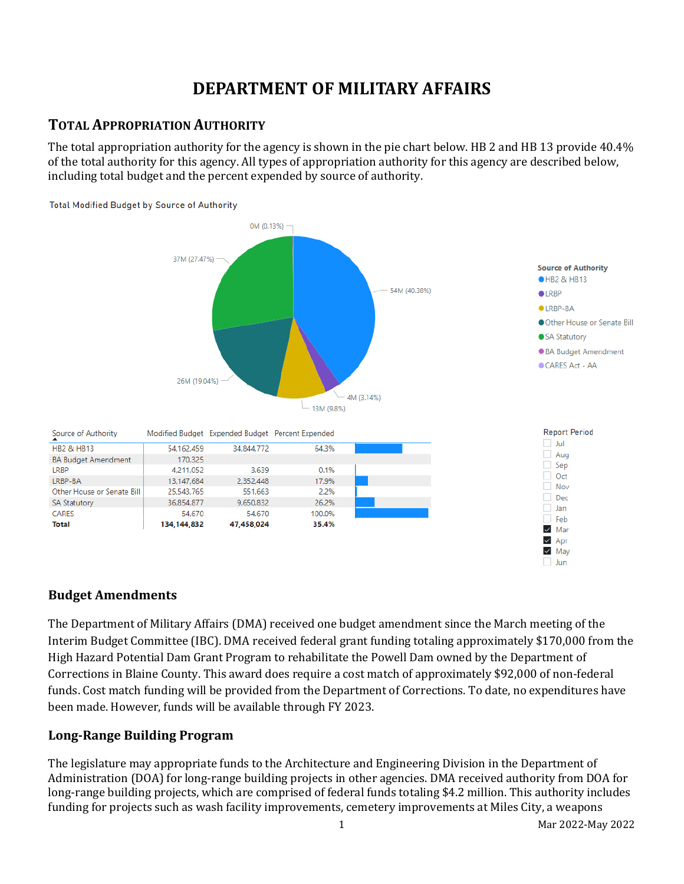# **DEPARTMENT OF MILITARY AFFAIRS**

## **TOTAL APPROPRIATION AUTHORITY**

The total appropriation authority for the agency is shown in the pie chart below. HB 2 and HB 13 provide 40.4% of the total authority for this agency. All types of appropriation authority for this agency are described below, including total budget and the percent expended by source of authority.



### **Budget Amendments**

The Department of Military Affairs (DMA) received one budget amendment since the March meeting of the Interim Budget Committee (IBC). DMA received federal grant funding totaling approximately \$170,000 from the High Hazard Potential Dam Grant Program to rehabilitate the Powell Dam owned by the Department of Corrections in Blaine County. This award does require a cost match of approximately \$92,000 of non-federal funds. Cost match funding will be provided from the Department of Corrections. To date, no expenditures have been made. However, funds will be available through FY 2023.

### **Long-Range Building Program**

The legislature may appropriate funds to the Architecture and Engineering Division in the Department of Administration (DOA) for long-range building projects in other agencies. DMA received authority from DOA for long-range building projects, which are comprised of federal funds totaling \$4.2 million. This authority includes funding for projects such as wash facility improvements, cemetery improvements at Miles City, a weapons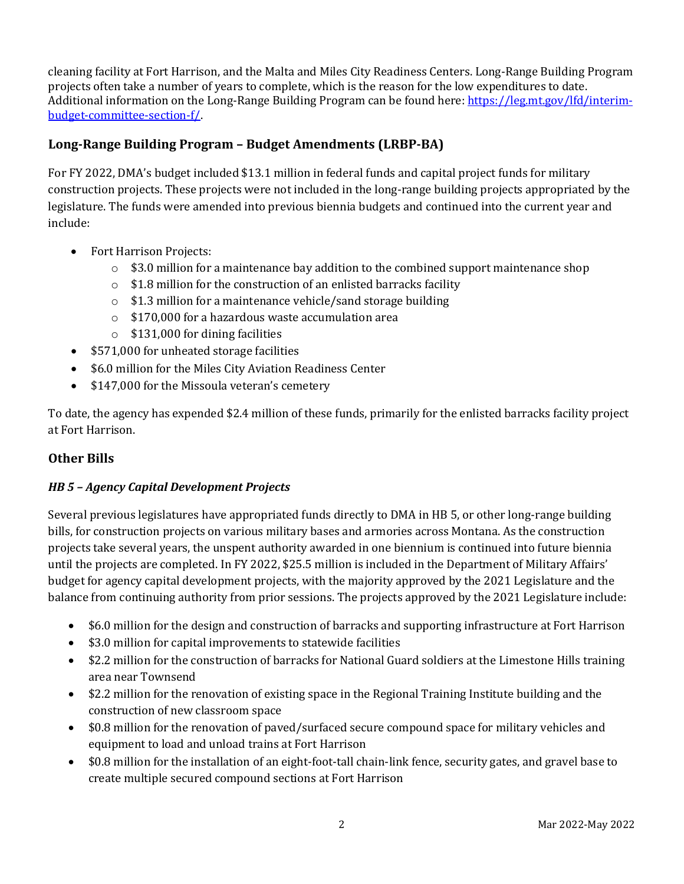cleaning facility at Fort Harrison, and the Malta and Miles City Readiness Centers. Long-Range Building Program projects often take a number of years to complete, which is the reason for the low expenditures to date. Additional information on the Long-Range Building Program can be found here[: https://leg.mt.gov/lfd/interim](https://leg.mt.gov/lfd/interim-budget-committee-section-f/)[budget-committee-section-f/.](https://leg.mt.gov/lfd/interim-budget-committee-section-f/) 

### **Long-Range Building Program – Budget Amendments (LRBP-BA)**

For FY 2022, DMA's budget included \$13.1 million in federal funds and capital project funds for military construction projects. These projects were not included in the long-range building projects appropriated by the legislature. The funds were amended into previous biennia budgets and continued into the current year and include:

- Fort Harrison Projects:
	- $\circ$  \$3.0 million for a maintenance bay addition to the combined support maintenance shop
	- $\circ$  \$1.8 million for the construction of an enlisted barracks facility
	- o \$1.3 million for a maintenance vehicle/sand storage building
	- o \$170,000 for a hazardous waste accumulation area
	- $\circ$  \$131,000 for dining facilities
- \$571,000 for unheated storage facilities
- \$6.0 million for the Miles City Aviation Readiness Center
- \$147,000 for the Missoula veteran's cemetery

To date, the agency has expended \$2.4 million of these funds, primarily for the enlisted barracks facility project at Fort Harrison.

#### **Other Bills**

#### *HB 5 – Agency Capital Development Projects*

Several previous legislatures have appropriated funds directly to DMA in HB 5, or other long-range building bills, for construction projects on various military bases and armories across Montana. As the construction projects take several years, the unspent authority awarded in one biennium is continued into future biennia until the projects are completed. In FY 2022, \$25.5 million is included in the Department of Military Affairs' budget for agency capital development projects, with the majority approved by the 2021 Legislature and the balance from continuing authority from prior sessions. The projects approved by the 2021 Legislature include:

- \$6.0 million for the design and construction of barracks and supporting infrastructure at Fort Harrison
- \$3.0 million for capital improvements to statewide facilities
- \$2.2 million for the construction of barracks for National Guard soldiers at the Limestone Hills training area near Townsend
- \$2.2 million for the renovation of existing space in the Regional Training Institute building and the construction of new classroom space
- \$0.8 million for the renovation of paved/surfaced secure compound space for military vehicles and equipment to load and unload trains at Fort Harrison
- \$0.8 million for the installation of an eight-foot-tall chain-link fence, security gates, and gravel base to create multiple secured compound sections at Fort Harrison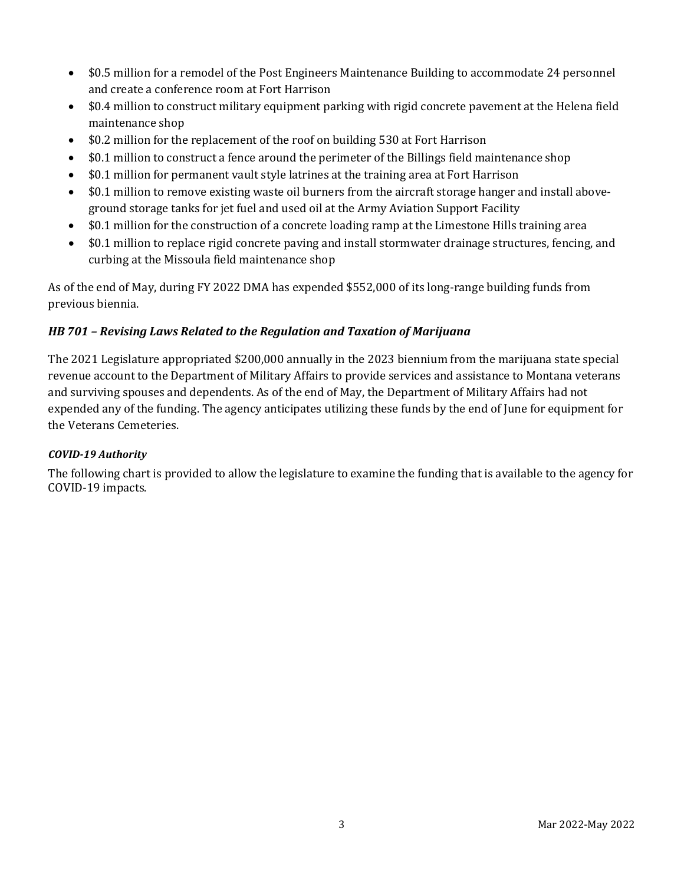- \$0.5 million for a remodel of the Post Engineers Maintenance Building to accommodate 24 personnel and create a conference room at Fort Harrison
- \$0.4 million to construct military equipment parking with rigid concrete pavement at the Helena field maintenance shop
- \$0.2 million for the replacement of the roof on building 530 at Fort Harrison
- \$0.1 million to construct a fence around the perimeter of the Billings field maintenance shop
- \$0.1 million for permanent vault style latrines at the training area at Fort Harrison
- \$0.1 million to remove existing waste oil burners from the aircraft storage hanger and install aboveground storage tanks for jet fuel and used oil at the Army Aviation Support Facility
- \$0.1 million for the construction of a concrete loading ramp at the Limestone Hills training area
- \$0.1 million to replace rigid concrete paving and install stormwater drainage structures, fencing, and curbing at the Missoula field maintenance shop

As of the end of May, during FY 2022 DMA has expended \$552,000 of its long-range building funds from previous biennia.

#### *HB 701 – Revising Laws Related to the Regulation and Taxation of Marijuana*

The 2021 Legislature appropriated \$200,000 annually in the 2023 biennium from the marijuana state special revenue account to the Department of Military Affairs to provide services and assistance to Montana veterans and surviving spouses and dependents. As of the end of May, the Department of Military Affairs had not expended any of the funding. The agency anticipates utilizing these funds by the end of June for equipment for the Veterans Cemeteries.

#### *COVID-19 Authority*

The following chart is provided to allow the legislature to examine the funding that is available to the agency for COVID-19 impacts.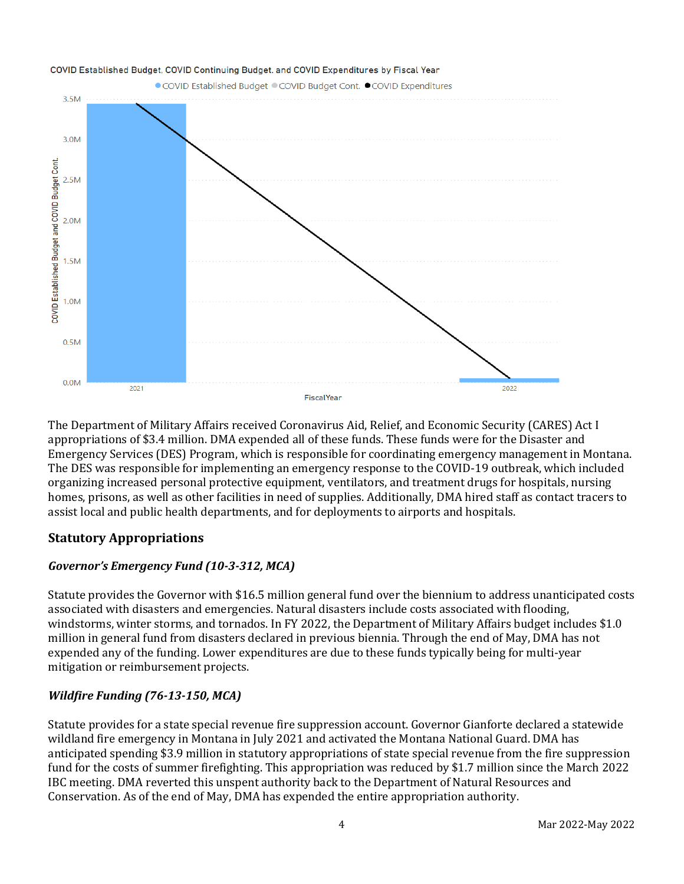

The Department of Military Affairs received Coronavirus Aid, Relief, and Economic Security (CARES) Act I appropriations of \$3.4 million. DMA expended all of these funds. These funds were for the Disaster and Emergency Services (DES) Program, which is responsible for coordinating emergency management in Montana. The DES was responsible for implementing an emergency response to the COVID-19 outbreak, which included organizing increased personal protective equipment, ventilators, and treatment drugs for hospitals, nursing homes, prisons, as well as other facilities in need of supplies. Additionally, DMA hired staff as contact tracers to assist local and public health departments, and for deployments to airports and hospitals.

### **Statutory Appropriations**

### *Governor's Emergency Fund (10-3-312, MCA)*

Statute provides the Governor with \$16.5 million general fund over the biennium to address unanticipated costs associated with disasters and emergencies. Natural disasters include costs associated with flooding, windstorms, winter storms, and tornados. In FY 2022, the Department of Military Affairs budget includes \$1.0 million in general fund from disasters declared in previous biennia. Through the end of May, DMA has not expended any of the funding. Lower expenditures are due to these funds typically being for multi-year mitigation or reimbursement projects.

### *Wildfire Funding (76-13-150, MCA)*

Statute provides for a state special revenue fire suppression account. Governor Gianforte declared a statewide wildland fire emergency in Montana in July 2021 and activated the Montana National Guard. DMA has anticipated spending \$3.9 million in statutory appropriations of state special revenue from the fire suppression fund for the costs of summer firefighting. This appropriation was reduced by \$1.7 million since the March 2022 IBC meeting. DMA reverted this unspent authority back to the Department of Natural Resources and Conservation. As of the end of May, DMA has expended the entire appropriation authority.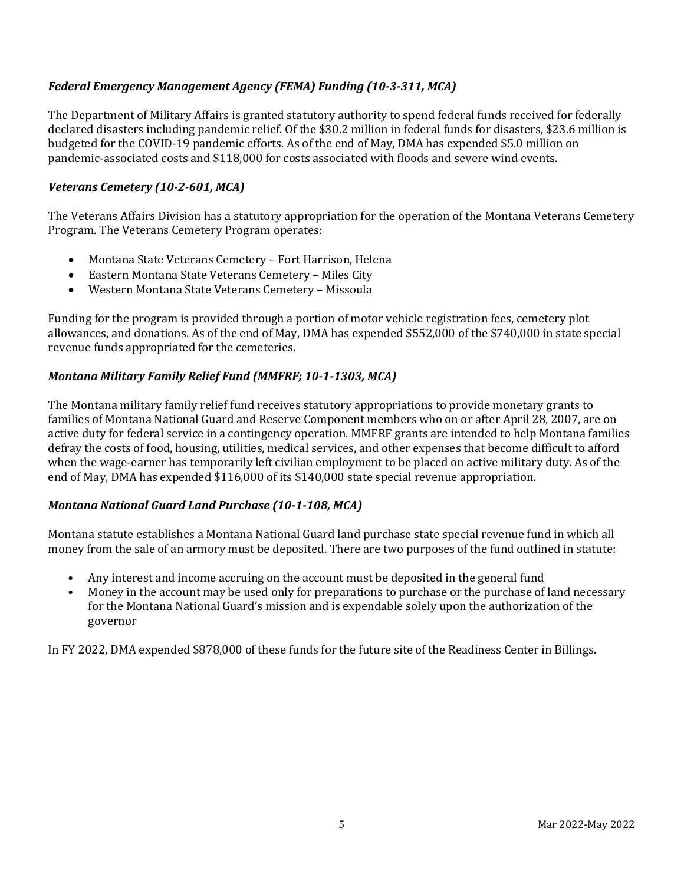### *Federal Emergency Management Agency (FEMA) Funding (10-3-311, MCA)*

The Department of Military Affairs is granted statutory authority to spend federal funds received for federally declared disasters including pandemic relief. Of the \$30.2 million in federal funds for disasters, \$23.6 million is budgeted for the COVID-19 pandemic efforts. As of the end of May, DMA has expended \$5.0 million on pandemic-associated costs and \$118,000 for costs associated with floods and severe wind events.

#### *Veterans Cemetery (10-2-601, MCA)*

The Veterans Affairs Division has a statutory appropriation for the operation of the Montana Veterans Cemetery Program. The Veterans Cemetery Program operates:

- Montana State Veterans Cemetery Fort Harrison, Helena
- Eastern Montana State Veterans Cemetery Miles City
- Western Montana State Veterans Cemetery Missoula

Funding for the program is provided through a portion of motor vehicle registration fees, cemetery plot allowances, and donations. As of the end of May, DMA has expended \$552,000 of the \$740,000 in state special revenue funds appropriated for the cemeteries.

#### *Montana Military Family Relief Fund (MMFRF; 10-1-1303, MCA)*

The Montana military family relief fund receives statutory appropriations to provide monetary grants to families of Montana National Guard and Reserve Component members who on or after April 28, 2007, are on active duty for federal service in a contingency operation. MMFRF grants are intended to help Montana families defray the costs of food, housing, utilities, medical services, and other expenses that become difficult to afford when the wage-earner has temporarily left civilian employment to be placed on active military duty. As of the end of May, DMA has expended \$116,000 of its \$140,000 state special revenue appropriation.

#### *Montana National Guard Land Purchase (10-1-108, MCA)*

Montana statute establishes a Montana National Guard land purchase state special revenue fund in which all money from the sale of an armory must be deposited. There are two purposes of the fund outlined in statute:

- Any interest and income accruing on the account must be deposited in the general fund<br>• Money in the account may be used only for preparations to purchase or the purchase of
- Money in the account may be used only for preparations to purchase or the purchase of land necessary for the Montana National Guard's mission and is expendable solely upon the authorization of the governor

In FY 2022, DMA expended \$878,000 of these funds for the future site of the Readiness Center in Billings.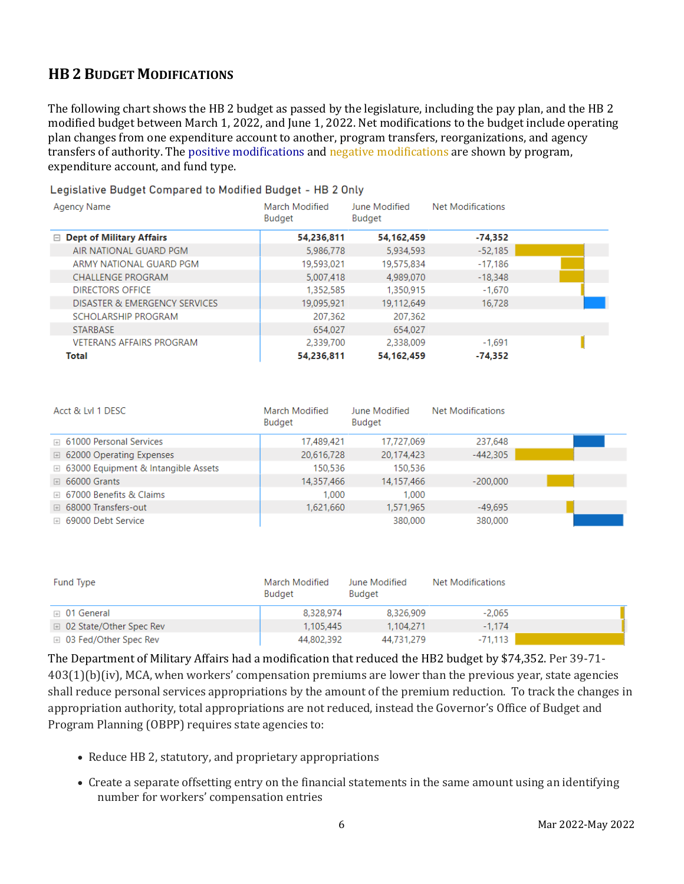# **HB 2 BUDGET MODIFICATIONS**

The following chart shows the HB 2 budget as passed by the legislature, including the pay plan, and the HB 2 modified budget between March 1, 2022, and June 1, 2022. Net modifications to the budget include operating plan changes from one expenditure account to another, program transfers, reorganizations, and agency transfers of authority. The positive modifications and negative modifications are shown by program, expenditure account, and fund type.

#### Legislative Budget Compared to Modified Budget - HB 2 Only

| Agency Name                     | March Modified<br>Budget | June Modified<br>Budget | Net Modifications |  |
|---------------------------------|--------------------------|-------------------------|-------------------|--|
| $\Box$ Dept of Military Affairs | 54,236,811               | 54, 162, 459            | $-74.352$         |  |
| AIR NATIONAL GUARD PGM          | 5,986,778                | 5,934,593               | $-52.185$         |  |
| ARMY NATIONAL GUARD PGM         | 19,593,021               | 19,575,834              | $-17,186$         |  |
| <b>CHALLENGE PROGRAM</b>        | 5,007,418                | 4.989.070               | $-18.348$         |  |
| DIRECTORS OFFICE                | 1,352,585                | 1,350,915               | $-1,670$          |  |
| DISASTER & EMERGENCY SERVICES   | 19,095,921               | 19,112,649              | 16.728            |  |
| SCHOLARSHIP PROGRAM             | 207,362                  | 207,362                 |                   |  |
| <b>STARBASE</b>                 | 654,027                  | 654.027                 |                   |  |
| <b>VETERANS AFFAIRS PROGRAM</b> | 2,339,700                | 2.338.009               | $-1.691$          |  |
| Total                           | 54,236,811               | 54, 162, 459            | $-74.352$         |  |

| Acct & LvI 1 DESC                              | March Modified<br>Budget | June Modified<br>Budget | <b>Net Modifications</b> |  |
|------------------------------------------------|--------------------------|-------------------------|--------------------------|--|
| □ 61000 Personal Services                      | 17,489,421               | 17,727,069              | 237,648                  |  |
| □ 62000 Operating Expenses                     | 20,616,728               | 20,174,423              | $-442.305$               |  |
| $\boxplus$ 63000 Equipment & Intangible Assets | 150,536                  | 150,536                 |                          |  |
| $\boxplus$ 66000 Grants                        | 14,357,466               | 14,157,466              | $-200,000$               |  |
| □ 67000 Benefits & Claims                      | 1.000                    | 1.000                   |                          |  |
| <b>E</b> 68000 Transfers-out                   | 1,621,660                | 1,571,965               | $-49,695$                |  |
| ⊞ 69000 Debt Service                           |                          | 380,000                 | 380,000                  |  |

| Fund Type                 | March Modified<br>Budget | June Modified<br>Budget | Net Modifications |  |
|---------------------------|--------------------------|-------------------------|-------------------|--|
| $\boxplus$ 01 General     | 8.328.974                | 8,326,909               | $-2.065$          |  |
| □ 02 State/Other Spec Rev | 1.105.445                | 1.104.271               | $-1.174$          |  |
| ⊞ 03 Fed/Other Spec Rev   | 44,802,392               | 44,731,279              | $-71.113$         |  |

The Department of Military Affairs had a modification that reduced the HB2 budget by \$74,352. Per 39-71- 403(1)(b)(iv), MCA, when workers' compensation premiums are lower than the previous year, state agencies shall reduce personal services appropriations by the amount of the premium reduction. To track the changes in appropriation authority, total appropriations are not reduced, instead the Governor's Office of Budget and Program Planning (OBPP) requires state agencies to:

- Reduce HB 2, statutory, and proprietary appropriations
- Create a separate offsetting entry on the financial statements in the same amount using an identifying number for workers' compensation entries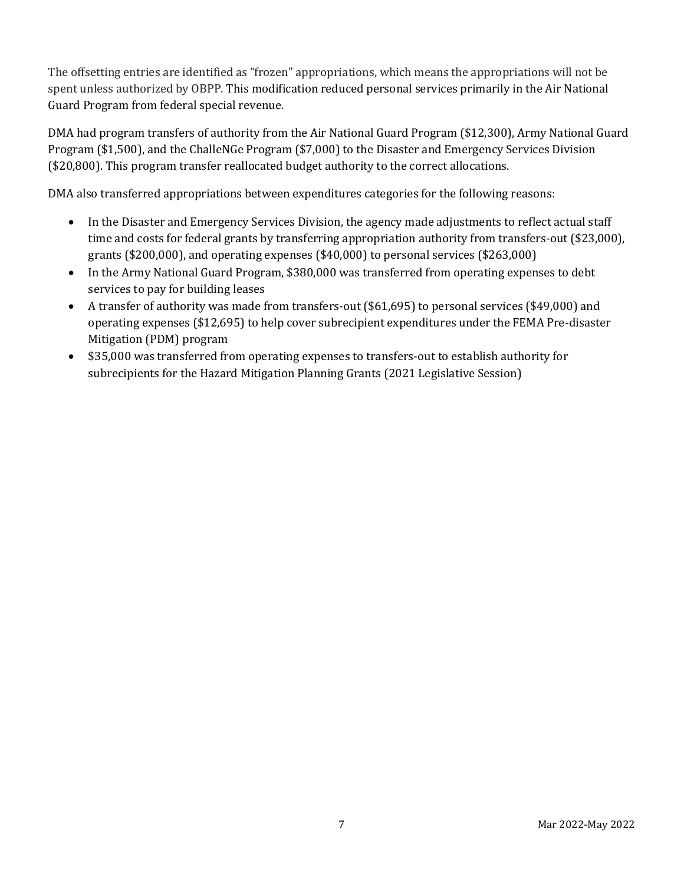The offsetting entries are identified as "frozen" appropriations, which means the appropriations will not be spent unless authorized by OBPP. This modification reduced personal services primarily in the Air National Guard Program from federal special revenue.

DMA had program transfers of authority from the Air National Guard Program (\$12,300), Army National Guard Program (\$1,500), and the ChalleNGe Program (\$7,000) to the Disaster and Emergency Services Division (\$20,800). This program transfer reallocated budget authority to the correct allocations.

DMA also transferred appropriations between expenditures categories for the following reasons:

- In the Disaster and Emergency Services Division, the agency made adjustments to reflect actual staff time and costs for federal grants by transferring appropriation authority from transfers-out (\$23,000), grants (\$200,000), and operating expenses (\$40,000) to personal services (\$263,000)
- In the Army National Guard Program, \$380,000 was transferred from operating expenses to debt services to pay for building leases
- A transfer of authority was made from transfers-out (\$61,695) to personal services (\$49,000) and operating expenses (\$12,695) to help cover subrecipient expenditures under the FEMA Pre-disaster Mitigation (PDM) program
- \$35,000 was transferred from operating expenses to transfers-out to establish authority for subrecipients for the Hazard Mitigation Planning Grants (2021 Legislative Session)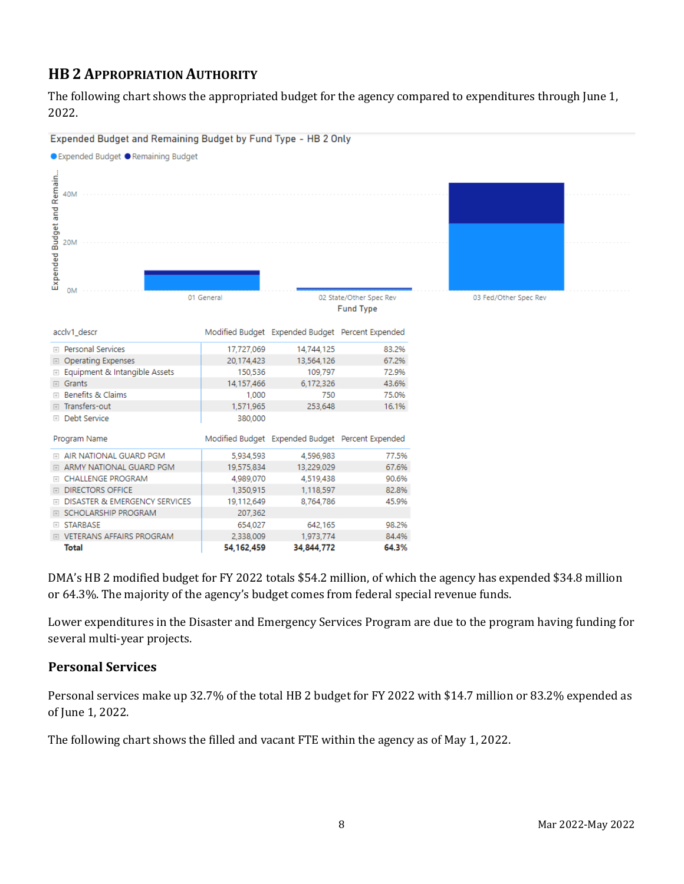# **HB 2 APPROPRIATION AUTHORITY**

The following chart shows the appropriated budget for the agency compared to expenditures through June 1, 2022.



DMA's HB 2 modified budget for FY 2022 totals \$54.2 million, of which the agency has expended \$34.8 million or 64.3%. The majority of the agency's budget comes from federal special revenue funds.

Lower expenditures in the Disaster and Emergency Services Program are due to the program having funding for several multi-year projects.

### **Personal Services**

Personal services make up 32.7% of the total HB 2 budget for FY 2022 with \$14.7 million or 83.2% expended as of June 1, 2022.

The following chart shows the filled and vacant FTE within the agency as of May 1, 2022.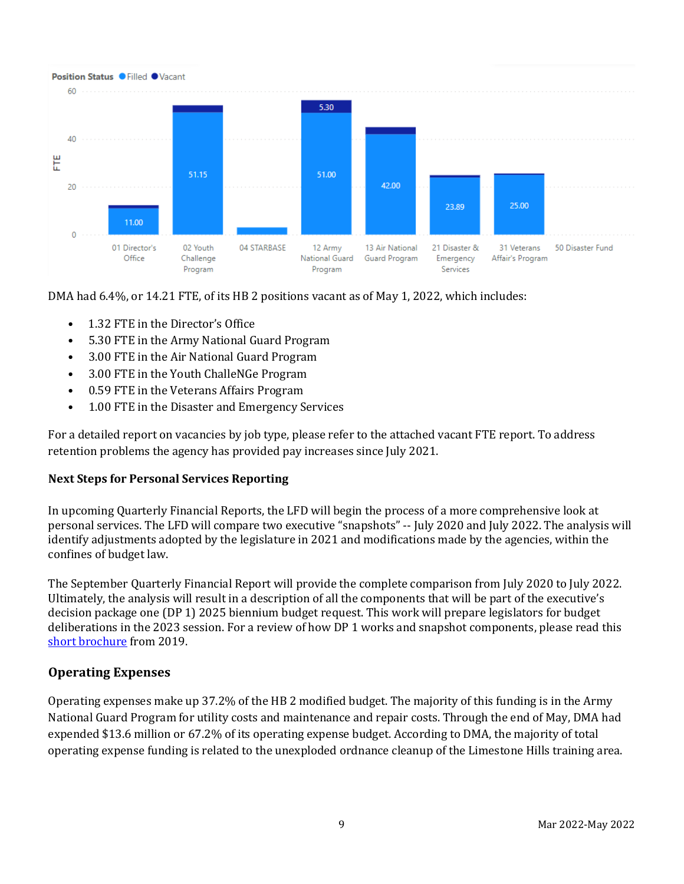

DMA had 6.4%, or 14.21 FTE, of its HB 2 positions vacant as of May 1, 2022, which includes:

- 1.32 FTE in the Director's Office
- 5.30 FTE in the Army National Guard Program
- 3.00 FTE in the Air National Guard Program
- 3.00 FTE in the Youth ChalleNGe Program
- 0.59 FTE in the Veterans Affairs Program
- 1.00 FTE in the Disaster and Emergency Services

For a detailed report on vacancies by job type, please refer to the attached vacant FTE report. To address retention problems the agency has provided pay increases since July 2021.

#### **Next Steps for Personal Services Reporting**

In upcoming Quarterly Financial Reports, the LFD will begin the process of a more comprehensive look at personal services. The LFD will compare two executive "snapshots" -- July 2020 and July 2022. The analysis will identify adjustments adopted by the legislature in 2021 and modifications made by the agencies, within the confines of budget law.

The September Quarterly Financial Report will provide the complete comparison from July 2020 to July 2022. Ultimately, the analysis will result in a description of all the components that will be part of the executive's decision package one (DP 1) 2025 biennium budget request. This work will prepare legislators for budget deliberations in the 2023 session. For a review of how DP 1 works and snapshot components, please read this [short brochure](https://montana.maps.arcgis.com/apps/Cascade/index.html?appid=23095fcf15754f4fb38b63c58a884b97) from 2019.

#### **Operating Expenses**

Operating expenses make up 37.2% of the HB 2 modified budget. The majority of this funding is in the Army National Guard Program for utility costs and maintenance and repair costs. Through the end of May, DMA had expended \$13.6 million or 67.2% of its operating expense budget. According to DMA, the majority of total operating expense funding is related to the unexploded ordnance cleanup of the Limestone Hills training area.